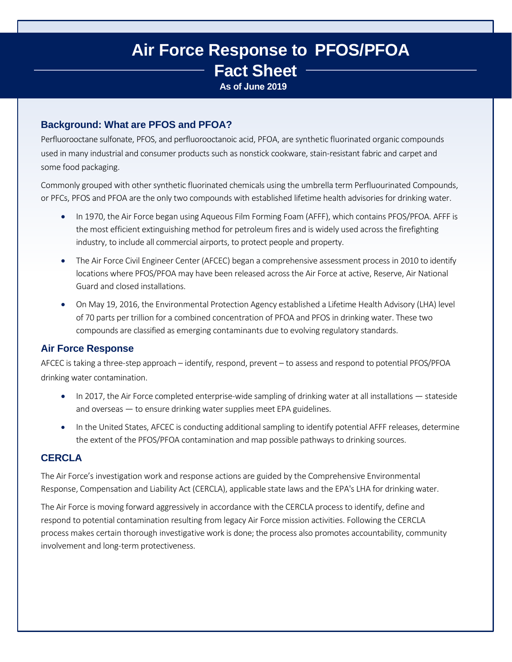# **Air Force Response to PFOS/PFOA Fact Sheet As of June 2019**

## **Background: What are PFOS and PFOA?**

Perfluorooctane sulfonate, PFOS, and perfluorooctanoic acid, PFOA, are synthetic fluorinated organic compounds used in many industrial and consumer products such as nonstick cookware, stain-resistant fabric and carpet and some food packaging.

Commonly grouped with other synthetic fluorinated chemicals using the umbrella term Perfluourinated Compounds, or PFCs, PFOS and PFOA are the only two compounds with established lifetime health advisories for drinking water.

- In 1970, the Air Force began using Aqueous Film Forming Foam (AFFF), which contains PFOS/PFOA. AFFF is the most efficient extinguishing method for petroleum fires and is widely used across the firefighting industry, to include all commercial airports, to protect people and property.
- The Air Force Civil Engineer Center (AFCEC) began a comprehensive assessment process in 2010 to identify locations where PFOS/PFOA may have been released across the Air Force at active, Reserve, Air National Guard and closed installations.
- On May 19, 2016, the Environmental Protection Agency established a Lifetime Health Advisory (LHA) level of 70 parts per trillion for a combined concentration of PFOA and PFOS in drinking water. These two compounds are classified as emerging contaminants due to evolving regulatory standards.

## **Air Force Response**

AFCEC is taking a three-step approach – identify, respond, prevent – to assess and respond to potential PFOS/PFOA drinking water contamination.

- In 2017, the Air Force completed enterprise-wide sampling of drinking water at all installations stateside and overseas — to ensure drinking water supplies meet EPA guidelines.
- In the United States, AFCEC is conducting additional sampling to identify potential AFFF releases, determine the extent of the PFOS/PFOA contamination and map possible pathways to drinking sources.

# **CERCLA**

The Air Force's investigation work and response actions are guided by the Comprehensive Environmental Response, Compensation and Liability Act (CERCLA), applicable state laws and the EPA's LHA for drinking water.

The Air Force is moving forward aggressively in accordance with the CERCLA processto identify, define and respond to potential contamination resulting from legacy Air Force mission activities. Following the CERCLA process makes certain thorough investigative work is done; the process also promotes accountability, community involvement and long-term protectiveness.